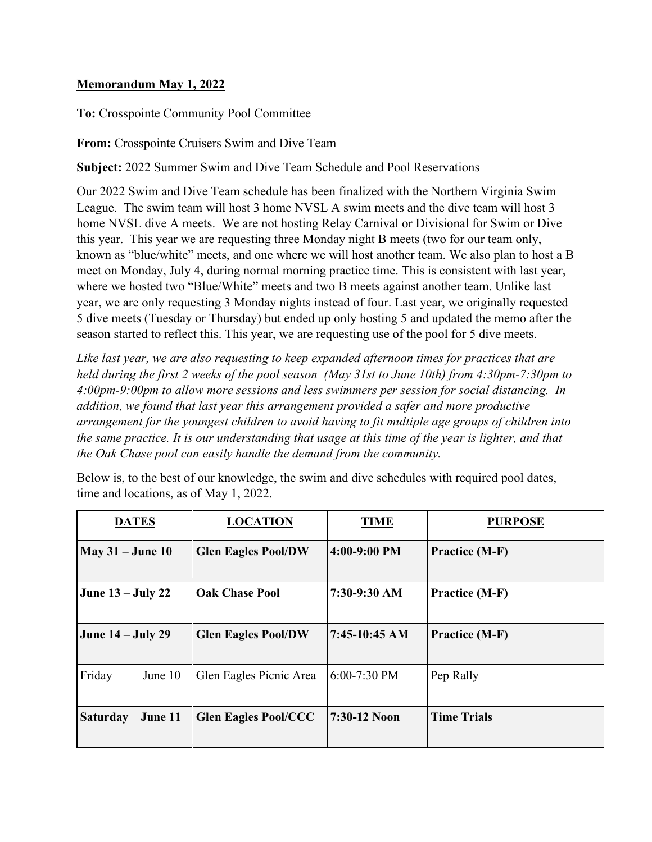## **Memorandum May 1, 2022**

**To:** Crosspointe Community Pool Committee

**From:** Crosspointe Cruisers Swim and Dive Team

**Subject:** 2022 Summer Swim and Dive Team Schedule and Pool Reservations

Our 2022 Swim and Dive Team schedule has been finalized with the Northern Virginia Swim League. The swim team will host 3 home NVSL A swim meets and the dive team will host 3 home NVSL dive A meets. We are not hosting Relay Carnival or Divisional for Swim or Dive this year. This year we are requesting three Monday night B meets (two for our team only, known as "blue/white" meets, and one where we will host another team. We also plan to host a B meet on Monday, July 4, during normal morning practice time. This is consistent with last year, where we hosted two "Blue/White" meets and two B meets against another team. Unlike last year, we are only requesting 3 Monday nights instead of four. Last year, we originally requested 5 dive meets (Tuesday or Thursday) but ended up only hosting 5 and updated the memo after the season started to reflect this. This year, we are requesting use of the pool for 5 dive meets.

*Like last year, we are also requesting to keep expanded afternoon times for practices that are held during the first 2 weeks of the pool season (May 31st to June 10th) from 4:30pm-7:30pm to 4:00pm-9:00pm to allow more sessions and less swimmers per session for social distancing. In addition, we found that last year this arrangement provided a safer and more productive arrangement for the youngest children to avoid having to fit multiple age groups of children into the same practice. It is our understanding that usage at this time of the year is lighter, and that the Oak Chase pool can easily handle the demand from the community.* 

Below is, to the best of our knowledge, the swim and dive schedules with required pool dates, time and locations, as of May 1, 2022.

| <b>DATES</b>               | <b>LOCATION</b>             | <b>TIME</b>     | <b>PURPOSE</b>        |
|----------------------------|-----------------------------|-----------------|-----------------------|
| $May 31 - June 10$         | <b>Glen Eagles Pool/DW</b>  | $4:00-9:00$ PM  | <b>Practice (M-F)</b> |
| June $13 -$ July 22        | <b>Oak Chase Pool</b>       | 7:30-9:30 AM    | Practice (M-F)        |
| <b>June 14 – July 29</b>   | <b>Glen Eagles Pool/DW</b>  | $7:45-10:45$ AM | <b>Practice (M-F)</b> |
| Friday<br>June $10$        | Glen Eagles Picnic Area     | $6:00-7:30$ PM  | Pep Rally             |
| <b>Saturday</b><br>June 11 | <b>Glen Eagles Pool/CCC</b> | 7:30-12 Noon    | <b>Time Trials</b>    |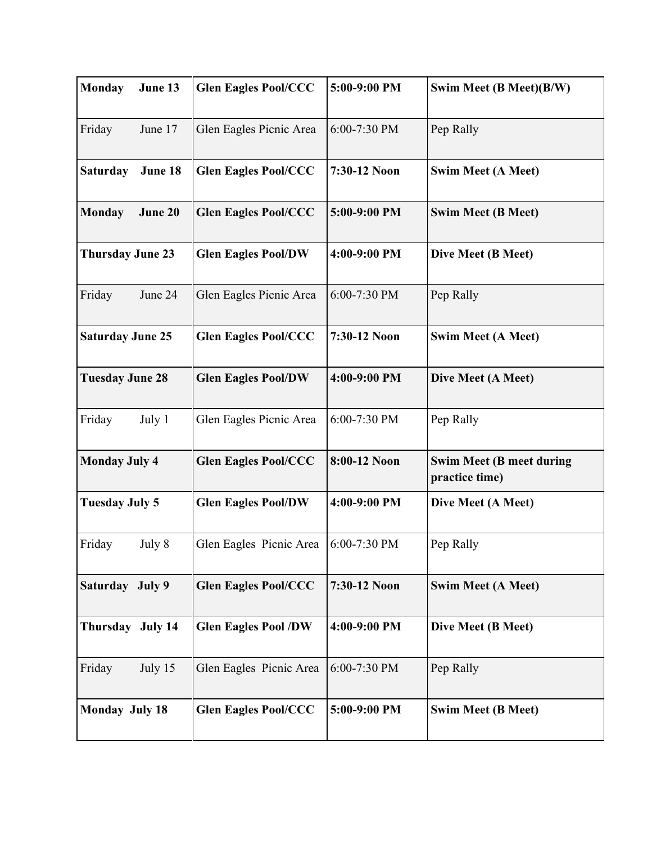| <b>Monday</b>           | June 13 | <b>Glen Eagles Pool/CCC</b> | 5:00-9:00 PM | Swim Meet (B Meet)(B/W)                           |
|-------------------------|---------|-----------------------------|--------------|---------------------------------------------------|
| Friday                  | June 17 | Glen Eagles Picnic Area     | 6:00-7:30 PM | Pep Rally                                         |
| <b>Saturday</b>         | June 18 | <b>Glen Eagles Pool/CCC</b> | 7:30-12 Noon | <b>Swim Meet (A Meet)</b>                         |
| <b>Monday</b>           | June 20 | <b>Glen Eagles Pool/CCC</b> | 5:00-9:00 PM | <b>Swim Meet (B Meet)</b>                         |
| <b>Thursday June 23</b> |         | <b>Glen Eagles Pool/DW</b>  | 4:00-9:00 PM | Dive Meet (B Meet)                                |
| Friday                  | June 24 | Glen Eagles Picnic Area     | 6:00-7:30 PM | Pep Rally                                         |
| <b>Saturday June 25</b> |         | <b>Glen Eagles Pool/CCC</b> | 7:30-12 Noon | <b>Swim Meet (A Meet)</b>                         |
| <b>Tuesday June 28</b>  |         | <b>Glen Eagles Pool/DW</b>  | 4:00-9:00 PM | Dive Meet (A Meet)                                |
| Friday                  | July 1  | Glen Eagles Picnic Area     | 6:00-7:30 PM | Pep Rally                                         |
| <b>Monday July 4</b>    |         | <b>Glen Eagles Pool/CCC</b> | 8:00-12 Noon | <b>Swim Meet (B meet during</b><br>practice time) |
| <b>Tuesday July 5</b>   |         | <b>Glen Eagles Pool/DW</b>  | 4:00-9:00 PM | Dive Meet (A Meet)                                |
| Friday                  | July 8  | Glen Eagles Picnic Area     | 6:00-7:30 PM | Pep Rally                                         |
| Saturday July 9         |         | <b>Glen Eagles Pool/CCC</b> | 7:30-12 Noon | <b>Swim Meet (A Meet)</b>                         |
| Thursday July 14        |         | <b>Glen Eagles Pool /DW</b> | 4:00-9:00 PM | Dive Meet (B Meet)                                |
| Friday                  | July 15 | Glen Eagles Picnic Area     | 6:00-7:30 PM | Pep Rally                                         |
| <b>Monday July 18</b>   |         | <b>Glen Eagles Pool/CCC</b> | 5:00-9:00 PM | <b>Swim Meet (B Meet)</b>                         |